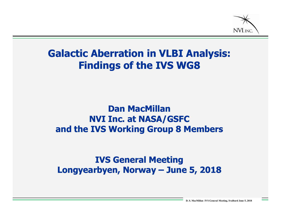

#### **Galactic Aberration in VLBI Analysis: Findings of the IVS WG8**

#### **Dan MacMillan NVI Inc. at NASA/GSFC and the IVS Working Group 8 Members**

#### **IVS General Meeting Longyearbyen, Norway – June 5, 2018**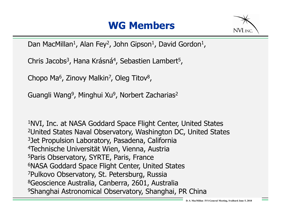#### **WG Members**



Dan MacMillan<sup>1</sup>, Alan Fey<sup>2</sup>, John Gipson<sup>1</sup>, David Gordon<sup>1</sup>,

Chris Jacobs<sup>3</sup>, Hana Krásná<sup>4</sup>, Sebastien Lambert<sup>5</sup>,

Chopo Ma<sup>6</sup>, Zinovy Malkin<sup>7</sup>, Oleg Titov<sup>8</sup>,

Guangli Wang<sup>9</sup>, Minghui Xu<sup>9</sup>, Norbert Zacharias<sup>2</sup>

1NVI, Inc. at NASA Goddard Space Flight Center, United States 2United States Naval Observatory, Washington DC, United States 3Jet Propulsion Laboratory, Pasadena, California 4Technische Universität Wien, Vienna, Austria 5Paris Observatory, SYRTE, Paris, France 6NASA Goddard Space Flight Center, United States 7Pulkovo Observatory, St. Petersburg, Russia 8Geoscience Australia, Canberra, 2601, Australia 9Shanghai Astronomical Observatory, Shanghai, PR China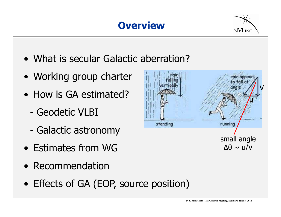**Overview**



- What is secular Galactic aberration?
- Working group charter
- How is GA estimated?
	- Geodetic VLBI
	- Galactic astronomy
- Estimates from WG
- Recommendation
- Effects of GA (EOP, source position)

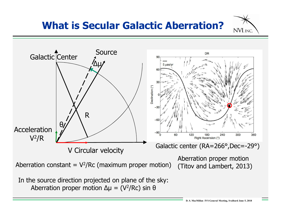## **What is Secular Galactic Aberration?**



NVI, INC.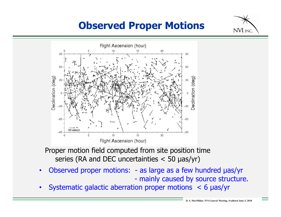## **Observed Proper Motions**



Proper motion field computed from site position time series (RA and DEC uncertainties < 50 µas/yr)

- Observed proper motions: as large as a few hundred  $\mu$ as/yr - mainly caused by source structure.
- Systematic galactic aberration proper motions < 6 µas/yr

NVI, INC.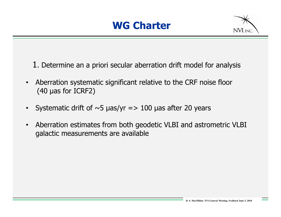

1. Determine an a priori secular aberration drift model for analysis

- Aberration systematic significant relative to the CRF noise floor (40 µas for ICRF2)
- Systematic drift of  $\sim$ 5 µas/yr => 100 µas after 20 years
- Aberration estimates from both geodetic VLBI and astrometric VLBI galactic measurements are available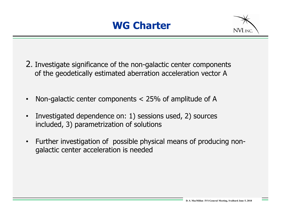

- 2. Investigate significance of the non-galactic center components of the geodetically estimated aberration acceleration vector A
- Non-galactic center components  $<$  25% of amplitude of A
- Investigated dependence on: 1) sessions used, 2) sources included, 3) parametrization of solutions
- Further investigation of possible physical means of producing nongalactic center acceleration is needed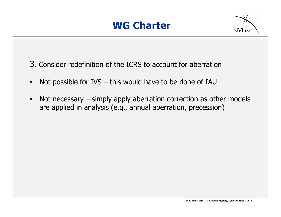

3. Consider redefinition of the ICRS to account for aberration

- Not possible for IVS this would have to be done of IAU
- Not necessary simply apply aberration correction as other models are applied in analysis (e.g., annual aberration, precession)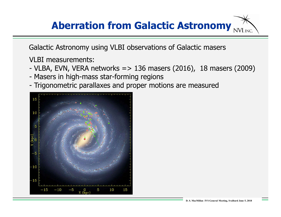#### **Aberration from Galactic Astronomy**NVI, INC.

Galactic Astronomy using VLBI observations of Galactic masers

VLBI measurements:

- VLBA, EVN, VERA networks  $\approx$  136 masers (2016), 18 masers (2009)
- Masers in high-mass star-forming regions
- Trigonometric parallaxes and proper motions are measured

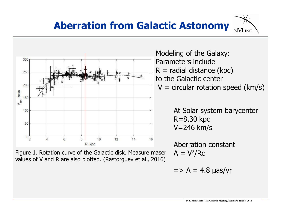



Figure 1. Rotation curve of the Galactic disk. Measure maser values of V and R are also plotted. (Rastorguev et al., 2016)

Modeling of the Galaxy: Parameters include  $R =$  radial distance (kpc) to the Galactic center  $V =$  circular rotation speed (km/s)

> At Solar system barycenter R=8.30 kpc V=246 km/s

Aberration constant  $A = V^2/RC$ 

$$
=
$$
 A = 4.8  $\mu$ as/yr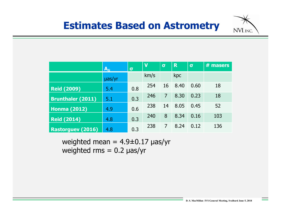

|                          | $A_G$  | $\sigma$ | $\overline{\mathsf{v}}$ | $\sigma$ | R    | $\sigma$ | $#$ masers |
|--------------------------|--------|----------|-------------------------|----------|------|----------|------------|
|                          | µas/yr |          | km/s                    |          | kpc  |          |            |
| <b>Reid (2009)</b>       | 5.4    | 0.8      | 254                     | 16       | 8.40 | 0.60     | 18         |
| <b>Brunthaler (2011)</b> | 5.1    | 0.3      | 246                     | 7        | 8.30 | 0.23     | 18         |
| <b>Honma (2012)</b>      | 4.9    | 0.6      | 238                     | 14       | 8.05 | 0.45     | 52         |
| <b>Reid (2014)</b>       | 4.8    | 0.3      | 240                     | 8        | 8.34 | 0.16     | 103        |
| <b>Rastorguev (2016)</b> | 4.8    | 0.3      | 238                     | 7        | 8.24 | 0.12     | 136        |

weighted mean =  $4.9\pm0.17$  µas/yr weighted  $rms = 0.2$   $\mu$ as/yr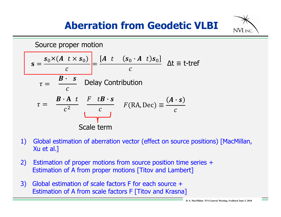# **Aberration from Geodetic VLBI**



- 1) Global estimation of aberration vector (effect on source positions) [MacMillan, Xu et al.]
- 2) Estimation of proper motions from source position time series + Estimation of A from proper motions [Titov and Lambert]
- 3) Global estimation of scale factors F for each source + Estimation of A from scale factors F [Titov and Krasna]

**NVI.INC**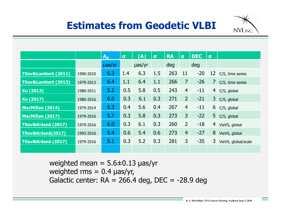# **Estimates from Geodetic VLBI**



|                                 |           | $\mathbf{A}_{\mathsf{G}}$ | $\sigma$ | <b>A</b>    | $\sigma$ | <b>RA</b> | $\sigma$       | <b>DEC</b> | $\sigma$ |                     |
|---------------------------------|-----------|---------------------------|----------|-------------|----------|-----------|----------------|------------|----------|---------------------|
|                                 |           | uas/yr                    |          | $\mu$ as/yr |          | deg       |                | deg        |          |                     |
| <b>Titov&amp;Lambert (2011)</b> | 1990-2010 | 6.3                       | 1.4      | 6.3         | 1.5      | 263       | 11             | $-20$      | 12       | C/S, time series    |
| <b>Titov&amp;Lambert (2013)</b> | 1979-2013 | 6.4                       | 1.1      | 6.4         | 1.1      | 266       | $\overline{7}$ | $-26$      | 7        | C/S, time series    |
| Xu (2013)                       | 1980-2011 | 5.2                       | 0.5      | 5.8         | 0.5      | 243       | $\overline{4}$ | $-11$      | 4        | C/S, global         |
| Xu (2017)                       | 1980-2016 | 6.0                       | 0.3      | 6.1         | 0.3      | 271       | 2 <sup>1</sup> | $-21$      | 3        | C/S, global         |
| <b>MacMillan (2014)</b>         | 1979-2014 | 5.3                       | 0.4      | 5.6         | 0.4      | 267       | $\overline{4}$ | $-11$      | 6        | C/S, global         |
| <b>MacMillan (2017)</b>         | 1979-2016 | 5.7                       | 0.3      | 5.8         | 0.3      | 273       | 3 <sup>1</sup> | $-22$      | 5        | C/S, global         |
| Titov&Krásná (2017)             | 1979-2016 | 6.0                       | 0.3      | 6.1         | 0.3      | 260       | $\overline{2}$ | $-18$      | 4        | VieVS, global       |
| Titov&Krásná(2017)              | 1993-2016 | 5.4                       | 0.6      | 5.4         | 0.6      | 273       | $\overline{4}$ | $-27$      | 8        | VieVS, global       |
| Titov&Krásná (2017)             | 1979-2016 | 5.1                       | 0.3      | 5.2         | 0.3      | 281       | 3              | $-35$      | 3        | VieVS, global/scale |
|                                 |           |                           |          |             |          |           |                |            |          |                     |

weighted mean =  $5.6 \pm 0.13$  µas/yr weighted  $rms = 0.4 \text{ }\mu\text{as/yr}$ , Galactic center:  $RA = 266.4$  deg,  $DEC = -28.9$  deg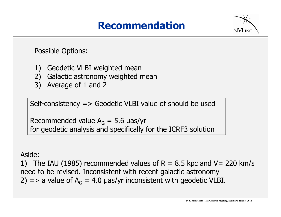#### **Recommendation**



Possible Options:

- 1) Geodetic VLBI weighted mean
- 2) Galactic astronomy weighted mean
- 3) Average of 1 and 2

Self-consistency => Geodetic VLBI value of should be used

Recommended value  $A_G = 5.6$  µas/yr for geodetic analysis and specifically for the ICRF3 solution

#### Aside:

1) The IAU (1985) recommended values of R = 8.5 kpc and V = 220 km/s need to be revised. Inconsistent with recent galactic astronomy 2) => a value of  $A_G = 4.0$  µas/yr inconsistent with geodetic VLBI.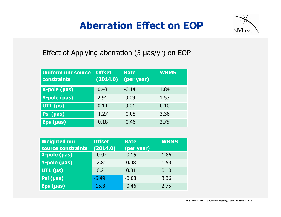## **Aberration Effect on EOP**



#### Effect of Applying aberration (5 µas/yr) on EOP

| <b>Uniform nnr source</b><br>constraints | <b>Offset</b><br>(2014.0) | <b>Rate</b><br>(per year) | <b>WRMS</b> |
|------------------------------------------|---------------------------|---------------------------|-------------|
| $X$ -pole ( $\mu$ as)                    | 0.43                      | $-0.14$                   | 1.84        |
| Y-pole (µas)                             | 2.91                      | 0.09                      | 1.53        |
| UT1 $(\mu s)$                            | 0.14                      | 0.01                      | 0.10        |
| Psi (µas)                                | $-1.27$                   | $-0.08$                   | 3.36        |
| $Eps$ (µas)                              | $-0.18$                   | $-0.46$                   | 2.75        |

| <b>Weighted nnr</b> | <b>Offset</b> | <b>Rate</b> | <b>WRMS</b> |
|---------------------|---------------|-------------|-------------|
| source constraints  | (2014.0)      | (per year)  |             |
| $X-pole$ (µas)      | $-0.02$       | $-0.15$     | 1.86        |
| Y-pole (µas)        | 2.81          | 0.08        | 1.53        |
| UT1 $(\mu s)$       | 0.21          | 0.01        | 0.10        |
| Psi (µas)           | $-6.49$       | $-0.08$     | 3.36        |
| $Eps$ (µas)         | $-15.3$       | $-0.46$     | 2.75        |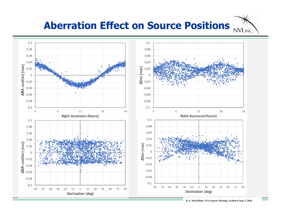#### **Aberration Effect on Source Positions**NVI, INC.



**D. S. MacMillan IVS General Meeting, Svalbard June 5, 2018**